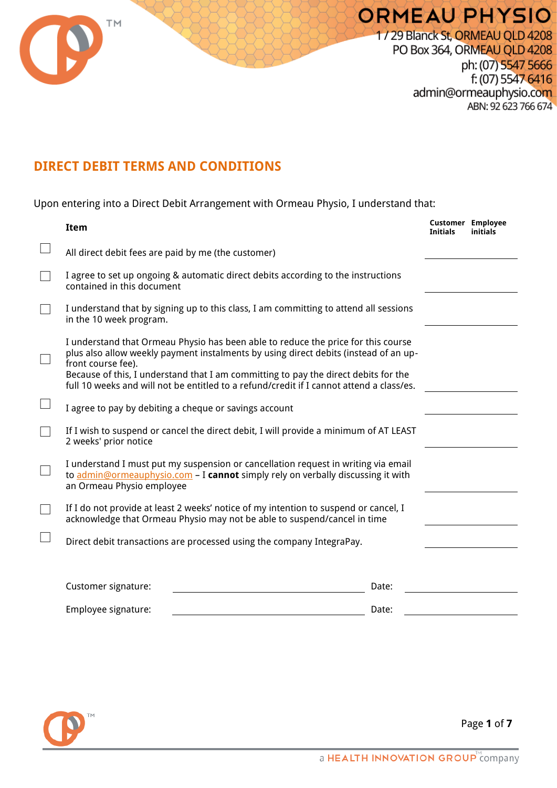

## **DIRECT DEBIT TERMS AND CONDITIONS**

Upon entering into a Direct Debit Arrangement with Ormeau Physio, I understand that:

| <b>Item</b>                                                                                                                                                                                                                                                                                                                                                                        |       | <b>Customer Employee</b><br><b>Initials</b> | initials |
|------------------------------------------------------------------------------------------------------------------------------------------------------------------------------------------------------------------------------------------------------------------------------------------------------------------------------------------------------------------------------------|-------|---------------------------------------------|----------|
| All direct debit fees are paid by me (the customer)                                                                                                                                                                                                                                                                                                                                |       |                                             |          |
| I agree to set up ongoing & automatic direct debits according to the instructions<br>contained in this document                                                                                                                                                                                                                                                                    |       |                                             |          |
| I understand that by signing up to this class, I am committing to attend all sessions<br>in the 10 week program.                                                                                                                                                                                                                                                                   |       |                                             |          |
| I understand that Ormeau Physio has been able to reduce the price for this course<br>plus also allow weekly payment instalments by using direct debits (instead of an up-<br>front course fee).<br>Because of this, I understand that I am committing to pay the direct debits for the<br>full 10 weeks and will not be entitled to a refund/credit if I cannot attend a class/es. |       |                                             |          |
| I agree to pay by debiting a cheque or savings account                                                                                                                                                                                                                                                                                                                             |       |                                             |          |
| If I wish to suspend or cancel the direct debit, I will provide a minimum of AT LEAST<br>2 weeks' prior notice                                                                                                                                                                                                                                                                     |       |                                             |          |
| I understand I must put my suspension or cancellation request in writing via email<br>to admin@ormeauphysio.com - I cannot simply rely on verbally discussing it with<br>an Ormeau Physio employee                                                                                                                                                                                 |       |                                             |          |
| If I do not provide at least 2 weeks' notice of my intention to suspend or cancel, I<br>acknowledge that Ormeau Physio may not be able to suspend/cancel in time                                                                                                                                                                                                                   |       |                                             |          |
| Direct debit transactions are processed using the company IntegraPay.                                                                                                                                                                                                                                                                                                              |       |                                             |          |
|                                                                                                                                                                                                                                                                                                                                                                                    |       |                                             |          |
| Customer signature:                                                                                                                                                                                                                                                                                                                                                                | Date: |                                             |          |
| Employee signature:                                                                                                                                                                                                                                                                                                                                                                | Date: |                                             |          |



Page **1** of **7**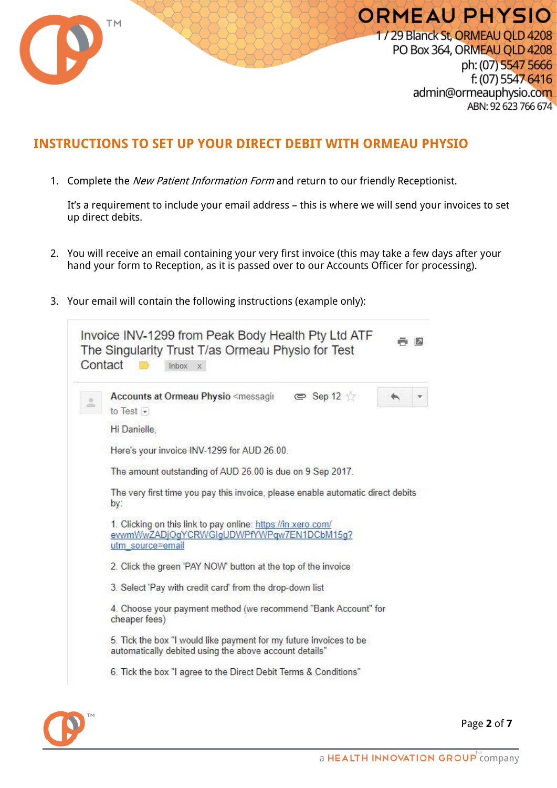

## **INSTRUCTIONS TO SET UP YOUR DIRECT DEBIT WITH ORMEAU PHYSIO**

1. Complete the New Patient Information Form and return to our friendly Receptionist.

It's a requirement to include your email address – this is where we will send your invoices to set up direct debits.

- 2. You will receive an email containing your very first invoice (this may take a few days after your hand your form to Reception, as it is passed over to our Accounts Officer for processing).
- 3. Your email will contain the following instructions (example only):

|                                                                                                                               | $\equiv$ Sep 12 $\pm$<br>Accounts at Ormeau Physio <messagin<br>to Test <math>\vert \cdot \vert</math></messagin<br>         |  |  |  |  |
|-------------------------------------------------------------------------------------------------------------------------------|------------------------------------------------------------------------------------------------------------------------------|--|--|--|--|
|                                                                                                                               | Hi Danielle,                                                                                                                 |  |  |  |  |
|                                                                                                                               | Here's your invoice INV-1299 for AUD 26.00.                                                                                  |  |  |  |  |
|                                                                                                                               | The amount outstanding of AUD 26.00 is due on 9 Sep 2017.                                                                    |  |  |  |  |
|                                                                                                                               | The very first time you pay this invoice, please enable automatic direct debits<br>by:                                       |  |  |  |  |
| 1. Clicking on this link to pay online: https://in.xero.com/<br>evwmWwZADjOgYCRWGIgUDWPfYWPqw7EN1DCbM15g?<br>utm_source=email |                                                                                                                              |  |  |  |  |
|                                                                                                                               |                                                                                                                              |  |  |  |  |
|                                                                                                                               | 2. Click the green 'PAY NOW' button at the top of the invoice                                                                |  |  |  |  |
|                                                                                                                               | 3. Select 'Pay with credit card' from the drop-down list                                                                     |  |  |  |  |
|                                                                                                                               | 4. Choose your payment method (we recommend "Bank Account" for<br>cheaper fees)                                              |  |  |  |  |
|                                                                                                                               | 5. Tick the box "I would like payment for my future invoices to be<br>automatically debited using the above account details" |  |  |  |  |



Page **2** of **7**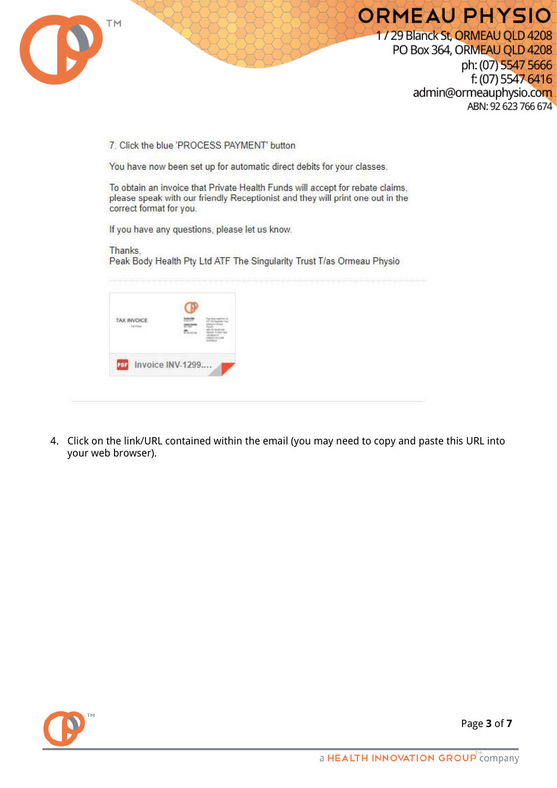

## **ORMEAU PHYSIO**

1/29 Blanck St, ORMEAU OLD 4208 PO Box 364, ORMEAU QLD 4208 ph: (07) 5547 5666 f: (07) 5547 6416 admin@ormeauphysio.com ABN: 92 623 766 674

7. Click the blue 'PROCESS PAYMENT' button

You have now been set up for automatic direct debits for your classes.

To obtain an invoice that Private Health Funds will accept for rebate claims. please speak with our friendly Receptionist and they will print one out in the correct format for you.

If you have any questions, please let us know.

Thanks. Peak Body Health Pty Ltd ATF The Singularity Trust T/as Ormeau Physio

4. Click on the link/URL contained within the email (you may need to copy and paste this URL into your web browser).



Page **3** of **7**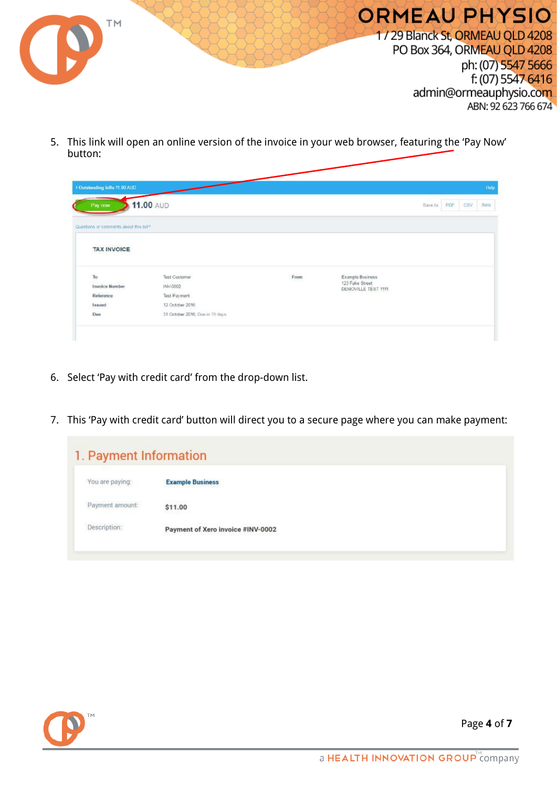

5. This link will open an online version of the invoice in your web browser, featuring the 'Pay Now' button:

| Pay now                                | 11.00 AUD                       |      |                                        | Save to | PDF | <b>CSV</b> |  |
|----------------------------------------|---------------------------------|------|----------------------------------------|---------|-----|------------|--|
| Questions or comments about this bill? |                                 |      |                                        |         |     |            |  |
| <b>TAX INVOICE</b>                     |                                 |      |                                        |         |     |            |  |
| ${\mathsf T}\mathsf o$                 | <b>Test Customer</b>            | From | Example Business                       |         |     |            |  |
| <b>Invoice Number</b>                  | INV-0002                        |      | 123 Fake Street<br>DEMOVILLE TEST 1111 |         |     |            |  |
| Reference                              | Test Payment                    |      |                                        |         |     |            |  |
| Issued                                 | 12 October 2016                 |      |                                        |         |     |            |  |
| Due                                    | 31 October 2016, Due in 19 days |      |                                        |         |     |            |  |

- 6. Select 'Pay with credit card' from the drop-down list.
- 7. This 'Pay with credit card' button will direct you to a secure page where you can make payment:

| 1. Payment Information |                                   |  |
|------------------------|-----------------------------------|--|
| You are paying:        | <b>Example Business</b>           |  |
| Payment amount:        | \$11.00                           |  |
| Description:           | Payment of Xero invoice #INV-0002 |  |



Page **4** of **7**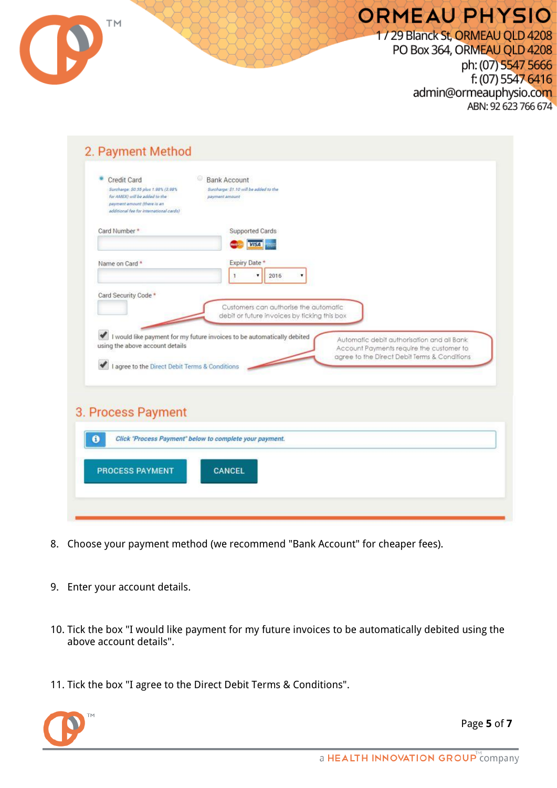| ABN: 92 623 766 674<br>2. Payment Method                                                                                                                                                                                    |
|-----------------------------------------------------------------------------------------------------------------------------------------------------------------------------------------------------------------------------|
| <b>Bank Account</b><br>Credit Card<br>Surcharge: \$0.55 plus 1.98% (3.98%)<br>Surcharge: \$1.10 will be added to the<br>for AMEX) will be added to the<br>payment amount<br>payment amount (there is an                     |
| additional fee for international cards)<br><b>Supported Cards</b><br>Card Number*<br><b>VISA</b>                                                                                                                            |
| Expiry Date<br>Name on Card *<br>2016<br>۰<br>Card Security Code *                                                                                                                                                          |
| Customers can authorise the automatic<br>debit or future invoices by ficking this box<br>I would like payment for my future invoices to be automatically debited                                                            |
| Automatic debit authorisation and all Bank<br>using the above account details<br>Account Payments require the customer to<br>agree to the Direct Debit Terms & Conditions<br>I agree to the Direct Debit Terms & Conditions |
| 3. Process Payment                                                                                                                                                                                                          |

- 8. Choose your payment method (we recommend "Bank Account" for cheaper fees).
- 9. Enter your account details.
- 10. Tick the box "I would like payment for my future invoices to be automatically debited using the above account details".
- 11. Tick the box "I agree to the Direct Debit Terms & Conditions".



Page **5** of **7**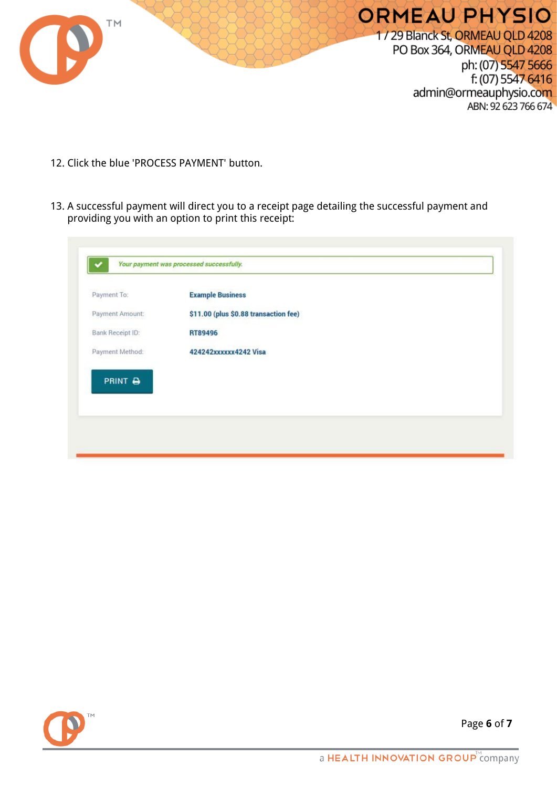

- 12. Click the blue 'PROCESS PAYMENT' button.
- 13. A successful payment will direct you to a receipt page detailing the successful payment and providing you with an option to print this receipt:

| Payment To:      | <b>Example Business</b>               |  |
|------------------|---------------------------------------|--|
| Payment Amount:  | \$11.00 (plus \$0.88 transaction fee) |  |
| Bank Receipt ID: | RT89496                               |  |
| Payment Method:  | 424242xxxxxx4242 Visa                 |  |
|                  |                                       |  |
|                  |                                       |  |
| PRINT &          |                                       |  |
|                  |                                       |  |



Page **6** of **7**